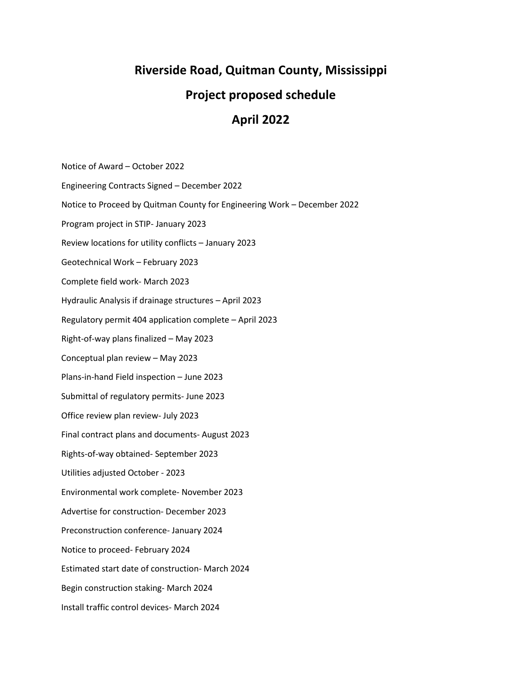## **Riverside Road, Quitman County, Mississippi**

## **Project proposed schedule**

## **April 2022**

Notice of Award – October 2022 Engineering Contracts Signed – December 2022 Notice to Proceed by Quitman County for Engineering Work – December 2022 Program project in STIP- January 2023 Review locations for utility conflicts – January 2023 Geotechnical Work – February 2023 Complete field work- March 2023 Hydraulic Analysis if drainage structures – April 2023 Regulatory permit 404 application complete – April 2023 Right-of-way plans finalized – May 2023 Conceptual plan review – May 2023 Plans-in-hand Field inspection – June 2023 Submittal of regulatory permits- June 2023 Office review plan review- July 2023 Final contract plans and documents- August 2023 Rights-of-way obtained- September 2023 Utilities adjusted October - 2023 Environmental work complete- November 2023 Advertise for construction- December 2023 Preconstruction conference- January 2024 Notice to proceed- February 2024 Estimated start date of construction- March 2024 Begin construction staking- March 2024 Install traffic control devices- March 2024